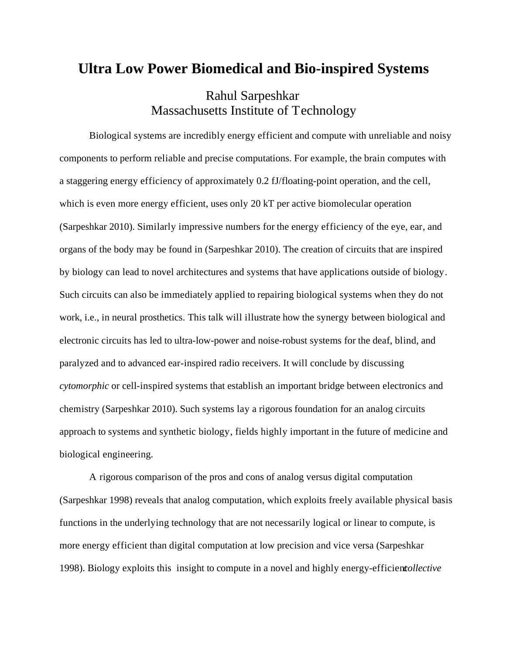## **Ultra Low Power Biomedical and Bio-inspired Systems**

## Rahul Sarpeshkar Massachusetts Institute of Technology

Biological systems are incredibly energy efficient and compute with unreliable and noisy components to perform reliable and precise computations. For example, the brain computes with a staggering energy efficiency of approximately 0.2 fJ/floating-point operation, and the cell, which is even more energy efficient, uses only 20 kT per active biomolecular operation (Sarpeshkar 2010). Similarly impressive numbers for the energy efficiency of the eye, ear, and organs of the body may be found in (Sarpeshkar 2010). The creation of circuits that are inspired by biology can lead to novel architectures and systems that have applications outside of biology. Such circuits can also be immediately applied to repairing biological systems when they do not work, i.e., in neural prosthetics. This talk will illustrate how the synergy between biological and electronic circuits has led to ultra-low-power and noise-robust systems for the deaf, blind, and paralyzed and to advanced ear-inspired radio receivers. It will conclude by discussing *cytomorphic* or cell-inspired systems that establish an important bridge between electronics and chemistry (Sarpeshkar 2010). Such systems lay a rigorous foundation for an analog circuits approach to systems and synthetic biology, fields highly important in the future of medicine and biological engineering.

A rigorous comparison of the pros and cons of analog versus digital computation (Sarpeshkar 1998) reveals that analog computation, which exploits freely available physical basis functions in the underlying technology that are not necessarily logical or linear to compute, is more energy efficient than digital computation at low precision and vice versa (Sarpeshkar 1998). Biology exploits this insight to compute in a novel and highly energy-efficient *collective*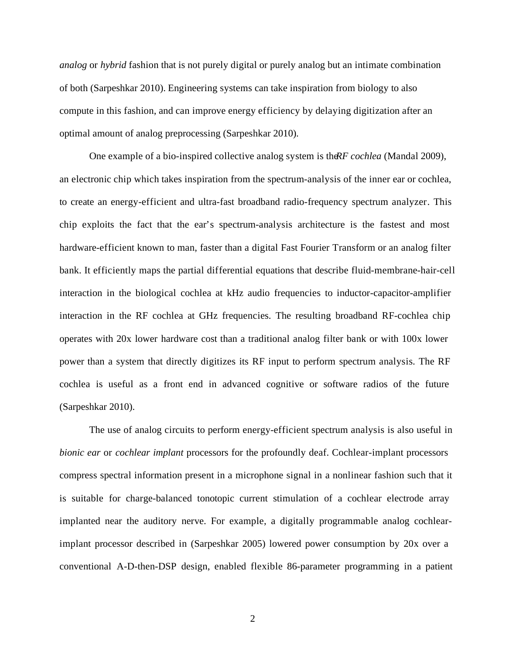*analog* or *hybrid* fashion that is not purely digital or purely analog but an intimate combination of both (Sarpeshkar 2010). Engineering systems can take inspiration from biology to also compute in this fashion, and can improve energy efficiency by delaying digitization after an optimal amount of analog preprocessing (Sarpeshkar 2010).

One example of a bio-inspired collective analog system is the *RF cochlea* (Mandal 2009), an electronic chip which takes inspiration from the spectrum-analysis of the inner ear or cochlea, to create an energy-efficient and ultra-fast broadband radio-frequency spectrum analyzer. This chip exploits the fact that the ear's spectrum-analysis architecture is the fastest and most hardware-efficient known to man, faster than a digital Fast Fourier Transform or an analog filter bank. It efficiently maps the partial differential equations that describe fluid-membrane-hair-cell interaction in the biological cochlea at kHz audio frequencies to inductor-capacitor-amplifier interaction in the RF cochlea at GHz frequencies. The resulting broadband RF-cochlea chip operates with 20x lower hardware cost than a traditional analog filter bank or with 100x lower power than a system that directly digitizes its RF input to perform spectrum analysis. The RF cochlea is useful as a front end in advanced cognitive or software radios of the future (Sarpeshkar 2010).

The use of analog circuits to perform energy-efficient spectrum analysis is also useful in *bionic ear* or *cochlear implant* processors for the profoundly deaf. Cochlear-implant processors compress spectral information present in a microphone signal in a nonlinear fashion such that it is suitable for charge-balanced tonotopic current stimulation of a cochlear electrode array implanted near the auditory nerve. For example, a digitally programmable analog cochlearimplant processor described in (Sarpeshkar 2005) lowered power consumption by 20x over a conventional A-D-then-DSP design, enabled flexible 86-parameter programming in a patient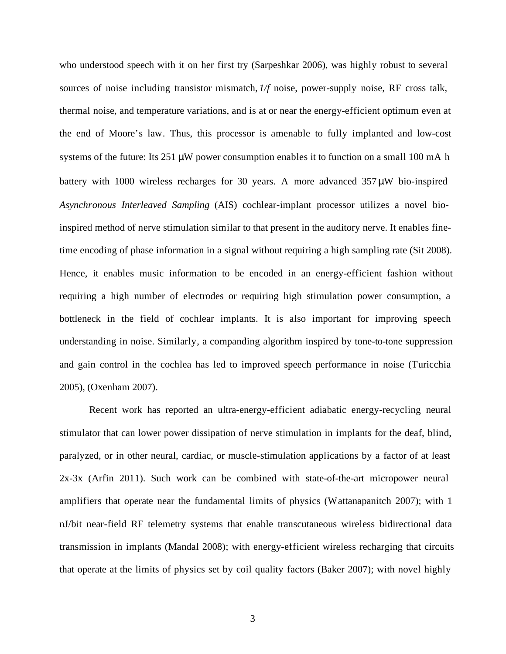who understood speech with it on her first try (Sarpeshkar 2006), was highly robust to several sources of noise including transistor mismatch, *1/f* noise, power-supply noise, RF cross talk, thermal noise, and temperature variations, and is at or near the energy-efficient optimum even at the end of Moore's law. Thus, this processor is amenable to fully implanted and low-cost systems of the future: Its 251 *m*W power consumption enables it to function on a small 100 mA h battery with 1000 wireless recharges for 30 years. A more advanced 357 *m*W bio-inspired *Asynchronous Interleaved Sampling* (AIS) cochlear-implant processor utilizes a novel bioinspired method of nerve stimulation similar to that present in the auditory nerve. It enables finetime encoding of phase information in a signal without requiring a high sampling rate (Sit 2008). Hence, it enables music information to be encoded in an energy-efficient fashion without requiring a high number of electrodes or requiring high stimulation power consumption, a bottleneck in the field of cochlear implants. It is also important for improving speech understanding in noise. Similarly, a companding algorithm inspired by tone-to-tone suppression and gain control in the cochlea has led to improved speech performance in noise (Turicchia 2005), (Oxenham 2007).

Recent work has reported an ultra-energy-efficient adiabatic energy-recycling neural stimulator that can lower power dissipation of nerve stimulation in implants for the deaf, blind, paralyzed, or in other neural, cardiac, or muscle-stimulation applications by a factor of at least 2x-3x (Arfin 2011). Such work can be combined with state-of-the-art micropower neural amplifiers that operate near the fundamental limits of physics (Wattanapanitch 2007); with 1 nJ/bit near-field RF telemetry systems that enable transcutaneous wireless bidirectional data transmission in implants (Mandal 2008); with energy-efficient wireless recharging that circuits that operate at the limits of physics set by coil quality factors (Baker 2007); with novel highly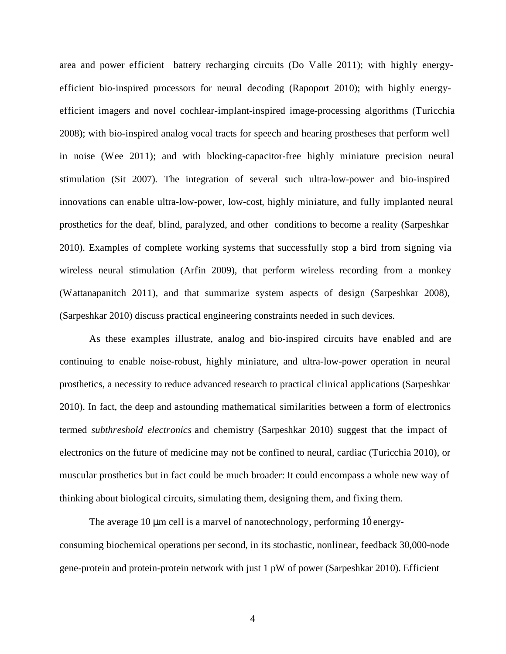area and power efficient battery recharging circuits (Do Valle 2011); with highly energyefficient bio-inspired processors for neural decoding (Rapoport 2010); with highly energyefficient imagers and novel cochlear-implant-inspired image-processing algorithms (Turicchia 2008); with bio-inspired analog vocal tracts for speech and hearing prostheses that perform well in noise (Wee 2011); and with blocking-capacitor-free highly miniature precision neural stimulation (Sit 2007). The integration of several such ultra-low-power and bio-inspired innovations can enable ultra-low-power, low-cost, highly miniature, and fully implanted neural prosthetics for the deaf, blind, paralyzed, and other conditions to become a reality (Sarpeshkar 2010). Examples of complete working systems that successfully stop a bird from signing via wireless neural stimulation (Arfin 2009), that perform wireless recording from a monkey (Wattanapanitch 2011), and that summarize system aspects of design (Sarpeshkar 2008), (Sarpeshkar 2010) discuss practical engineering constraints needed in such devices.

As these examples illustrate, analog and bio-inspired circuits have enabled and are continuing to enable noise-robust, highly miniature, and ultra-low-power operation in neural prosthetics, a necessity to reduce advanced research to practical clinical applications (Sarpeshkar 2010). In fact, the deep and astounding mathematical similarities between a form of electronics termed *subthreshold electronics* and chemistry (Sarpeshkar 2010) suggest that the impact of electronics on the future of medicine may not be confined to neural, cardiac (Turicchia 2010), or muscular prosthetics but in fact could be much broader: It could encompass a whole new way of thinking about biological circuits, simulating them, designing them, and fixing them.

The average 10  $\mathbf{m}$  cell is a marvel of nanotechnology, performing  $1\overline{0}$  energyconsuming biochemical operations per second, in its stochastic, nonlinear, feedback 30,000-node gene-protein and protein-protein network with just 1 pW of power (Sarpeshkar 2010). Efficient

4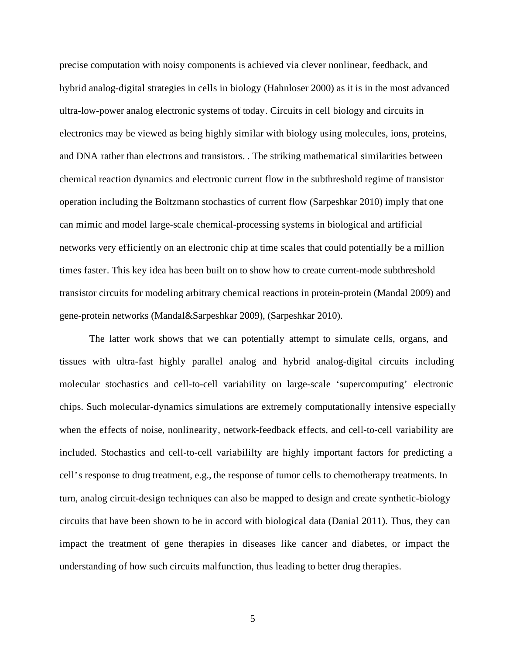precise computation with noisy components is achieved via clever nonlinear, feedback, and hybrid analog-digital strategies in cells in biology (Hahnloser 2000) as it is in the most advanced ultra-low-power analog electronic systems of today. Circuits in cell biology and circuits in electronics may be viewed as being highly similar with biology using molecules, ions, proteins, and DNA rather than electrons and transistors. . The striking mathematical similarities between chemical reaction dynamics and electronic current flow in the subthreshold regime of transistor operation including the Boltzmann stochastics of current flow (Sarpeshkar 2010) imply that one can mimic and model large-scale chemical-processing systems in biological and artificial networks very efficiently on an electronic chip at time scales that could potentially be a million times faster. This key idea has been built on to show how to create current-mode subthreshold transistor circuits for modeling arbitrary chemical reactions in protein-protein (Mandal 2009) and gene-protein networks (Mandal&Sarpeshkar 2009), (Sarpeshkar 2010).

The latter work shows that we can potentially attempt to simulate cells, organs, and tissues with ultra-fast highly parallel analog and hybrid analog-digital circuits including molecular stochastics and cell-to-cell variability on large-scale 'supercomputing' electronic chips. Such molecular-dynamics simulations are extremely computationally intensive especially when the effects of noise, nonlinearity, network-feedback effects, and cell-to-cell variability are included. Stochastics and cell-to-cell variabililty are highly important factors for predicting a cell's response to drug treatment, e.g., the response of tumor cells to chemotherapy treatments. In turn, analog circuit-design techniques can also be mapped to design and create synthetic-biology circuits that have been shown to be in accord with biological data (Danial 2011). Thus, they can impact the treatment of gene therapies in diseases like cancer and diabetes, or impact the understanding of how such circuits malfunction, thus leading to better drug therapies.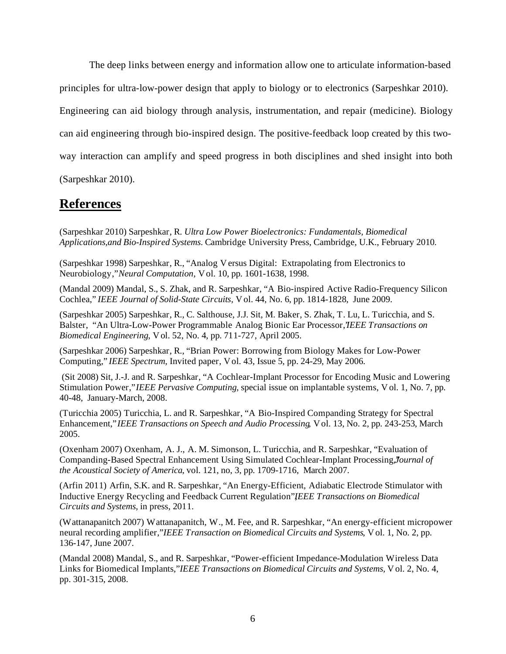The deep links between energy and information allow one to articulate information-based principles for ultra-low-power design that apply to biology or to electronics (Sarpeshkar 2010). Engineering can aid biology through analysis, instrumentation, and repair (medicine). Biology can aid engineering through bio-inspired design. The positive-feedback loop created by this twoway interaction can amplify and speed progress in both disciplines and shed insight into both

(Sarpeshkar 2010).

## **References**

(Sarpeshkar 2010) Sarpeshkar, R. *Ultra Low Power Bioelectronics: Fundamentals, Biomedical Applications,and Bio-Inspired Systems*. Cambridge University Press, Cambridge, U.K., February 2010.

(Sarpeshkar 1998) Sarpeshkar, R., "Analog Versus Digital: Extrapolating from Electronics to Neurobiology," *Neural Computation*, Vol. 10, pp. 1601-1638, 1998.

(Mandal 2009) Mandal, S., S. Zhak, and R. Sarpeshkar, "A Bio-inspired Active Radio-Frequency Silicon Cochlea," *IEEE Journal of Solid-State Circuits,* Vol. 44, No. 6, pp. 1814-1828, June 2009.

(Sarpeshkar 2005) Sarpeshkar, R., C. Salthouse, J.J. Sit, M. Baker, S. Zhak, T. Lu, L. Turicchia, and S. Balster, "An Ultra-Low-Power Programmable Analog Bionic Ear Processor,*'IEEE Transactions on Biomedical Engineering*, Vol. 52, No. 4, pp. 711-727, April 2005.

(Sarpeshkar 2006) Sarpeshkar, R., "Brian Power: Borrowing from Biology Makes for Low-Power Computing," *IEEE Spectrum*, Invited paper, Vol. 43, Issue 5, pp. 24-29, May 2006.

 (Sit 2008) Sit, J.-J. and R. Sarpeshkar, "A Cochlear-Implant Processor for Encoding Music and Lowering Stimulation Power," *IEEE Pervasive Computing*, special issue on implantable systems, V ol. 1, No. 7, pp. 40-48, January-March, 2008.

(Turicchia 2005) Turicchia, L. and R. Sarpeshkar, "A Bio-Inspired Companding Strategy for Spectral Enhancement," *IEEE Transactions on Speech and Audio Processing*, Vol. 13, No. 2, pp. 243-253, March 2005.

(Oxenham 2007) Oxenham, A. J., A. M. Simonson, L. Turicchia, and R. Sarpeshkar, "Evaluation of Companding-Based Spectral Enhancement Using Simulated Cochlear-Implant Processing," *Journal of the Acoustical Society of America*, vol. 121, no, 3, pp. 1709-1716, March 2007.

(Arfin 2011) Arfin, S.K. and R. Sarpeshkar, "An Energy-Efficient, Adiabatic Electrode Stimulator with Inductive Energy Recycling and Feedback Current Regulation", *IEEE Transactions on Biomedical Circuits and Systems*, in press, 2011.

(Wattanapanitch 2007) Wattanapanitch, W., M. Fee, and R. Sarpeshkar, "An energy-efficient micropower neural recording amplifier," *IEEE Transaction on Biomedical Circuits and Systems*, Vol. 1, No. 2, pp. 136-147, June 2007.

(Mandal 2008) Mandal, S., and R. Sarpeshkar, "Power-efficient Impedance-Modulation Wireless Data Links for Biomedical Implants," *IEEE Transactions on Biomedical Circuits and Systems,* Vol. 2, No. 4, pp. 301-315, 2008.